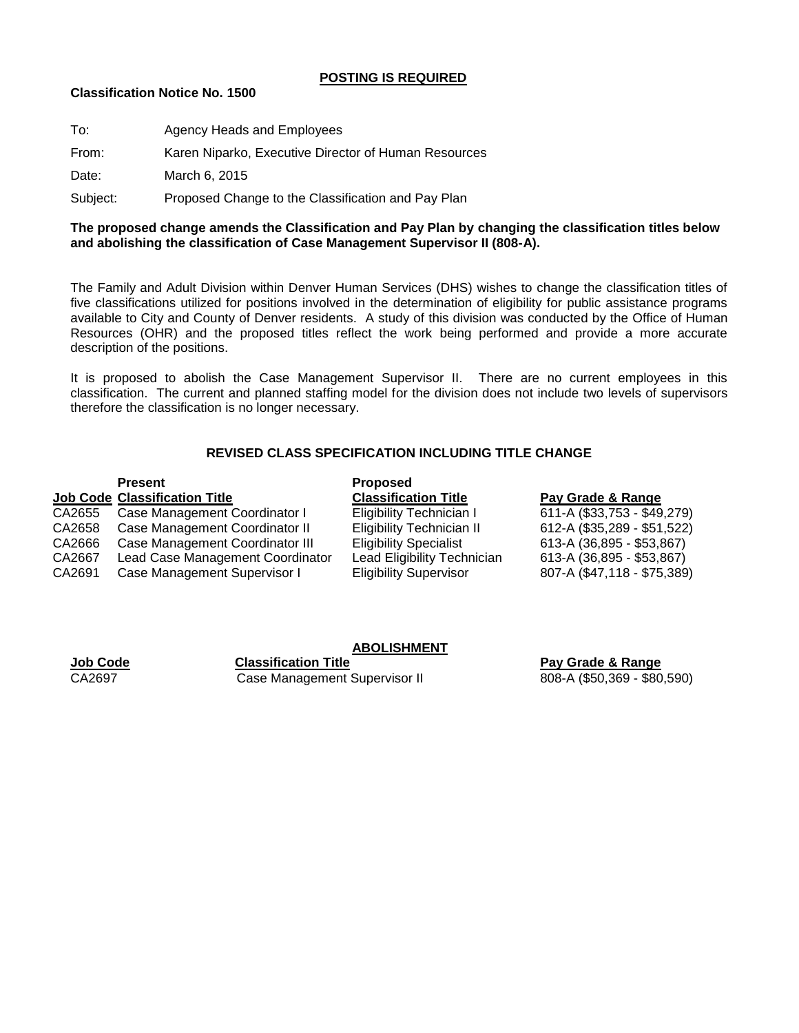### **POSTING IS REQUIRED**

#### **Classification Notice No. 1500**

| To:      | Agency Heads and Employees                           |
|----------|------------------------------------------------------|
| From:    | Karen Niparko, Executive Director of Human Resources |
| Date:    | March 6, 2015                                        |
| Subject: | Proposed Change to the Classification and Pay Plan   |

## **The proposed change amends the Classification and Pay Plan by changing the classification titles below and abolishing the classification of Case Management Supervisor II (808-A).**

The Family and Adult Division within Denver Human Services (DHS) wishes to change the classification titles of five classifications utilized for positions involved in the determination of eligibility for public assistance programs available to City and County of Denver residents. A study of this division was conducted by the Office of Human Resources (OHR) and the proposed titles reflect the work being performed and provide a more accurate description of the positions.

It is proposed to abolish the Case Management Supervisor II. There are no current employees in this classification. The current and planned staffing model for the division does not include two levels of supervisors therefore the classification is no longer necessary.

# **REVISED CLASS SPECIFICATION INCLUDING TITLE CHANGE**

## **Present Proposed Job Code Classification Title Classification Title Pay Grade & Range** CA2655 Case Management Coordinator I Eligibility Technician I 611-A (\$33,753 - \$49,279)<br>CA2658 Case Management Coordinator II Eligibility Technician II 612-A (\$35,289 - \$51,522) CA2658 Case Management Coordinator II Eligibility Technician II CA2666 Case Management Coordinator III Eligibility Specialist 613-A (36,895 - \$53,867) CA2667 Lead Case Management Coordinator Lead Eligibility Technician 613-A (36,895 - \$53,867) CA2691 Case Management Supervisor I Eligibility Supervisor 807-A (\$47,118 - \$75,389)

**ABOLISHMENT**

**Job Code Classification Title Pay Grade & Range** CA2697 Case Management Supervisor II 808-A (\$50,369 - \$80,590)